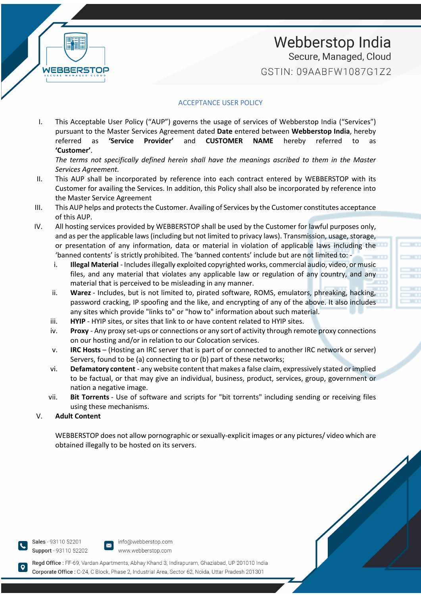

### Webberstop India Secure, Managed, Cloud GSTIN: 09AARFW1087G172

#### ACCEPTANCE USER POLICY

I. This Acceptable User Policy ("AUP") governs the usage of services of Webberstop India ("Services") pursuant to the Master Services Agreement dated **Date** entered between **Webberstop India**, hereby referred as **'Service Provider'** and **CUSTOMER NAME** hereby referred to as **'Customer'**.

*The terms not specifically defined herein shall have the meanings ascribed to them in the Master Services Agreement.*

- II. This AUP shall be incorporated by reference into each contract entered by WEBBERSTOP with its Customer for availing the Services. In addition, this Policy shall also be incorporated by reference into the Master Service Agreement
- III. This AUP helps and protects the Customer. Availing of Services by the Customer constitutes acceptance of this AUP.
- IV. All hosting services provided by WEBBERSTOP shall be used by the Customer for lawful purposes only, and as per the applicable laws (including but not limited to privacy laws). Transmission, usage, storage, or presentation of any information, data or material in violation of applicable laws including the 'banned contents' is strictly prohibited. The 'banned contents' include but are not limited to:
	- i. **Illegal Material** Includes illegally exploited copyrighted works, commercial audio, video, or music files, and any material that violates any applicable law or regulation of any country, and any material that is perceived to be misleading in any manner.
	- ii. **Warez** Includes, but is not limited to, pirated software, ROMS, emulators, phreaking, hacking, password cracking, IP spoofing and the like, and encrypting of any of the above. It also includes any sites which provide "links to" or "how to" information about such material.
	- iii. **HYIP** HYIP sites, or sites that link to or have content related to HYIP sites.
	- iv. **Proxy** Any proxy set-ups or connections or any sort of activity through remote proxy connections on our hosting and/or in relation to our Colocation services.
	- v. **IRC Hosts** (Hosting an IRC server that is part of or connected to another IRC network or server) Servers, found to be (a) connecting to or (b) part of these networks;
	- vi. **Defamatory content** any website content that makes a false claim, expressively stated or implied to be factual, or that may give an individual, business, product, services, group, government or nation a negative image.
	- vii. **Bit Torrents** Use of software and scripts for "bit torrents" including sending or receiving files using these mechanisms.

#### V. **Adult Content**

WEBBERSTOP does not allow pornographic or sexually-explicit images or any pictures/ video which are obtained illegally to be hosted on its servers.

Sales - 93110 52201 Support - 93110 52202



Regd Office: FF-69, Vardan Apartments, Abhay Khand 3, Indirapuram, Ghaziabad, UP 201010 India Corporate Office : C-24. C Block, Phase 2. Industrial Area, Sector 62, Noida, Uttar Pradesh 201301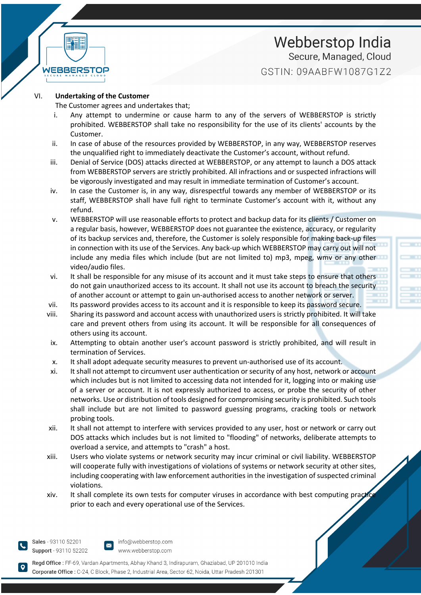

### Webberstop India Secure, Managed, Cloud GSTIN: 09AARFW1087G172

#### VI. **Undertaking of the Customer**

The Customer agrees and undertakes that;

- i. Any attempt to undermine or cause harm to any of the servers of WEBBERSTOP is strictly prohibited. WEBBERSTOP shall take no responsibility for the use of its clients' accounts by the Customer.
- ii. In case of abuse of the resources provided by WEBBERSTOP, in any way, WEBBERSTOP reserves the unqualified right to immediately deactivate the Customer's account, without refund.
- iii. Denial of Service (DOS) attacks directed at WEBBERSTOP, or any attempt to launch a DOS attack from WEBBERSTOP servers are strictly prohibited. All infractions and or suspected infractions will be vigorously investigated and may result in immediate termination of Customer's account.
- iv. In case the Customer is, in any way, disrespectful towards any member of WEBBERSTOP or its staff, WEBBERSTOP shall have full right to terminate Customer's account with it, without any refund.
- v. WEBBERSTOP will use reasonable efforts to protect and backup data for its clients / Customer on a regular basis, however, WEBBERSTOP does not guarantee the existence, accuracy, or regularity of its backup services and, therefore, the Customer is solely responsible for making back-up files in connection with its use of the Services. Any back-up which WEBBERSTOP may carry out will not include any media files which include (but are not limited to) mp3, mpeg, wmv or any other video/audio files.
- vi. It shall be responsible for any misuse of its account and it must take steps to ensure that others do not gain unauthorized access to its account. It shall not use its account to breach the security of another account or attempt to gain un-authorised access to another network or server.
- vii. Its password provides access to its account and it is responsible to keep its password secure.
- viii. Sharing its password and account access with unauthorized users is strictly prohibited. It will take care and prevent others from using its account. It will be responsible for all consequences of others using its account.
- ix. Attempting to obtain another user's account password is strictly prohibited, and will result in termination of Services.
- x. It shall adopt adequate security measures to prevent un-authorised use of its account.
- xi. It shall not attempt to circumvent user authentication or security of any host, network or account which includes but is not limited to accessing data not intended for it, logging into or making use of a server or account. It is not expressly authorized to access, or probe the security of other networks. Use or distribution of tools designed for compromising security is prohibited. Such tools shall include but are not limited to password guessing programs, cracking tools or network probing tools.
- xii. It shall not attempt to interfere with services provided to any user, host or network or carry out DOS attacks which includes but is not limited to "flooding" of networks, deliberate attempts to overload a service, and attempts to "crash" a host.
- xiii. Users who violate systems or network security may incur criminal or civil liability. WEBBERSTOP will cooperate fully with investigations of violations of systems or network security at other sites, including cooperating with law enforcement authorities in the investigation of suspected criminal violations.
- xiv. It shall complete its own tests for computer viruses in accordance with best computing practice prior to each and every operational use of the Services.

Sales - 93110 52201 Support - 93110 52202



Regd Office: FF-69, Vardan Apartments, Abhay Khand 3, Indirapuram, Ghaziabad, UP 201010 India Corporate Office : C-24. C Block, Phase 2. Industrial Area, Sector 62, Noida, Uttar Pradesh 201301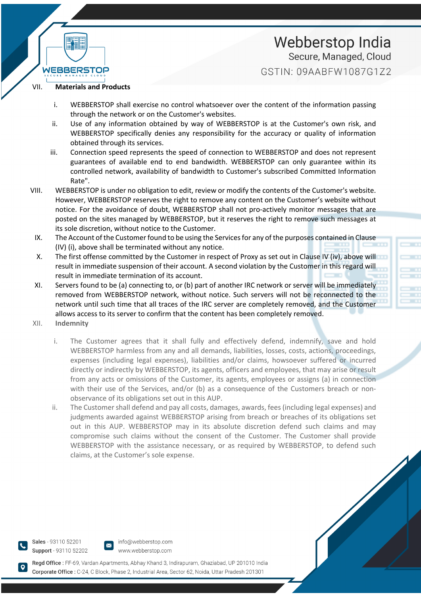## Webberstop India Secure, Managed, Cloud GSTIN: 09AARFW1087G172

#### VII. **Materials and Products**

WERRED

- i. WEBBERSTOP shall exercise no control whatsoever over the content of the information passing through the network or on the Customer's websites.
- ii. Use of any information obtained by way of WEBBERSTOP is at the Customer's own risk, and WEBBERSTOP specifically denies any responsibility for the accuracy or quality of information obtained through its services.
- iii. Connection speed represents the speed of connection to WEBBERSTOP and does not represent guarantees of available end to end bandwidth. WEBBERSTOP can only guarantee within its controlled network, availability of bandwidth to Customer's subscribed Committed Information Rate".
- VIII. WEBBERSTOP is under no obligation to edit, review or modify the contents of the Customer's website. However, WEBBERSTOP reserves the right to remove any content on the Customer's website without notice. For the avoidance of doubt, WEBBERSTOP shall not pro-actively monitor messages that are posted on the sites managed by WEBBERSTOP, but it reserves the right to remove such messages at its sole discretion, without notice to the Customer.
	- IX. The Account of the Customer found to be using the Services for any of the purposes contained in Clause (IV) (i), above shall be terminated without any notice.
	- X. The first offense committed by the Customer in respect of Proxy as set out in Clause IV (iv), above will result in immediate suspension of their account. A second violation by the Customer in this regard will result in immediate termination of its account.
- XI. Servers found to be (a) connecting to, or (b) part of another IRC network or server will be immediately removed from WEBBERSTOP network, without notice. Such servers will not be reconnected to the network until such time that all traces of the IRC server are completely removed, and the Customer allows access to its server to confirm that the content has been completely removed.
- XII. **Indemnity**
	- i. The Customer agrees that it shall fully and effectively defend, indemnify, save and hold WEBBERSTOP harmless from any and all demands, liabilities, losses, costs, actions, proceedings, expenses (including legal expenses), liabilities and/or claims, howsoever suffered or incurred directly or indirectly by WEBBERSTOP, its agents, officers and employees, that may arise or result from any acts or omissions of the Customer, its agents, employees or assigns (a) in connection with their use of the Services, and/or (b) as a consequence of the Customers breach or nonobservance of its obligations set out in this AUP.
	- ii. The Customer shall defend and pay all costs, damages, awards, fees (including legal expenses) and judgments awarded against WEBBERSTOP arising from breach or breaches of its obligations set out in this AUP. WEBBERSTOP may in its absolute discretion defend such claims and may compromise such claims without the consent of the Customer. The Customer shall provide WEBBERSTOP with the assistance necessary, or as required by WEBBERSTOP, to defend such claims, at the Customer's sole expense.

Sales - 93110 52201 Support - 93110 52202



Regd Office: FF-69, Vardan Apartments, Abhay Khand 3, Indirapuram, Ghaziabad, UP 201010 India Corporate Office : C-24. C Block, Phase 2. Industrial Area, Sector 62, Noida, Uttar Pradesh 201301